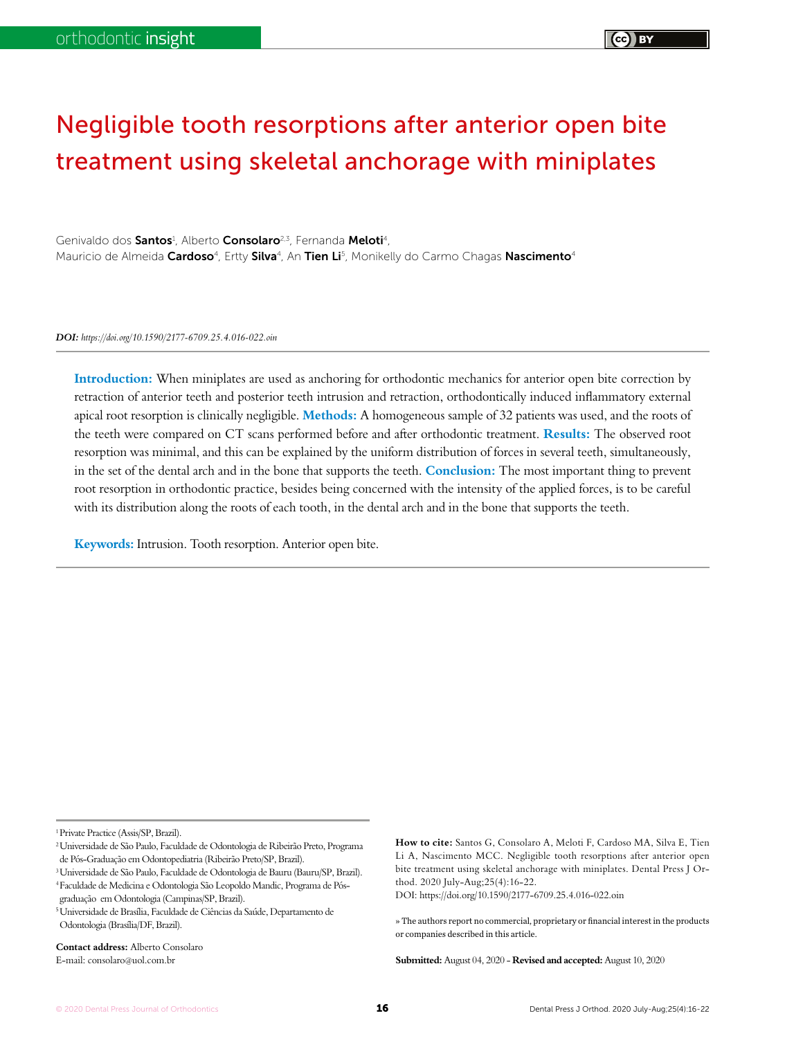# Negligible tooth resorptions after anterior open bite treatment using skeletal anchorage with miniplates

Genivaldo dos Santos<sup>1</sup>, Alberto Consolaro<sup>2,3</sup>, Fernanda Meloti<sup>4</sup>, Mauricio de Almeida **Cardoso**<sup>4</sup>, Ertty **Silva**<sup>4</sup>, An **Tien Li**<sup>5</sup>, Monikelly do Carmo Chagas **Nascimento**4

*DOI: https://doi.org/10.1590/2177-6709.25.4.016-022.oin*

**Introduction:** When miniplates are used as anchoring for orthodontic mechanics for anterior open bite correction by retraction of anterior teeth and posterior teeth intrusion and retraction, orthodontically induced inflammatory external apical root resorption is clinically negligible. **Methods:** A homogeneous sample of 32 patients was used, and the roots of the teeth were compared on CT scans performed before and after orthodontic treatment. **Results:** The observed root resorption was minimal, and this can be explained by the uniform distribution of forces in several teeth, simultaneously, in the set of the dental arch and in the bone that supports the teeth. **Conclusion:** The most important thing to prevent root resorption in orthodontic practice, besides being concerned with the intensity of the applied forces, is to be careful with its distribution along the roots of each tooth, in the dental arch and in the bone that supports the teeth.

**Keywords:** Intrusion. Tooth resorption. Anterior open bite.

1Private Practice (Assis/SP, Brazil).

<sup>3</sup> Universidade de São Paulo, Faculdade de Odontologia de Bauru (Bauru/SP, Brazil). 4Faculdade de Medicina e Odontologia São Leopoldo Mandic, Programa de Pósgraduação em Odontologia (Campinas/SP, Brazil).

5Universidade de Brasília, Faculdade de Ciências da Saúde, Departamento de Odontologia (Brasília/DF, Brazil).

**Contact address:** Alberto Consolaro E-mail: consolaro@uol.com.br

DOI: https://doi.org/10.1590/2177-6709.25.4.016-022.oin

**Submitted:** August 04, 2020 - **Revised and accepted:** August 10, 2020

<sup>2</sup>Universidade de São Paulo, Faculdade de Odontologia de Ribeirão Preto, Programa de Pós-Graduação em Odontopediatria (Ribeirão Preto/SP, Brazil).

**How to cite:** Santos G, Consolaro A, Meloti F, Cardoso MA, Silva E, Tien Li A, Nascimento MCC. Negligible tooth resorptions after anterior open bite treatment using skeletal anchorage with miniplates. Dental Press J Orthod. 2020 July-Aug;25(4):16-22.

<sup>»</sup> The authors report no commercial, proprietary or financial interest in the products or companies described in this article.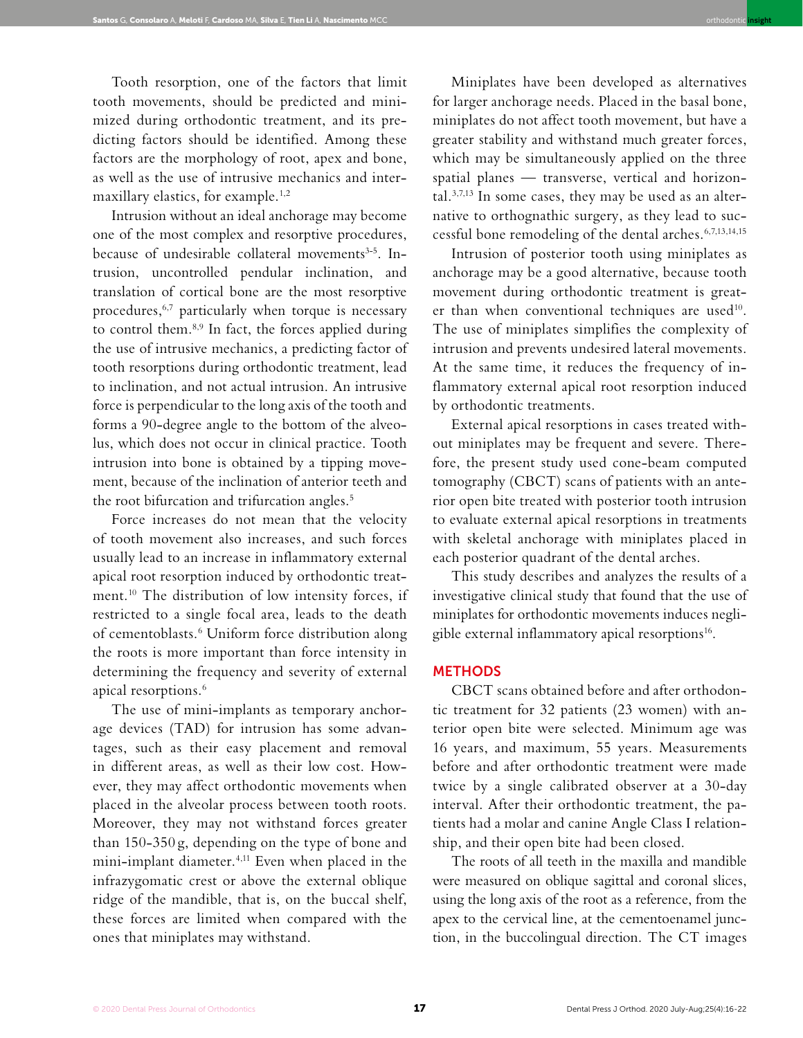Tooth resorption, one of the factors that limit tooth movements, should be predicted and minimized during orthodontic treatment, and its predicting factors should be identified. Among these factors are the morphology of root, apex and bone, as well as the use of intrusive mechanics and intermaxillary elastics, for example.<sup>1,2</sup>

Intrusion without an ideal anchorage may become one of the most complex and resorptive procedures, because of undesirable collateral movements<sup>3-5</sup>. Intrusion, uncontrolled pendular inclination, and translation of cortical bone are the most resorptive procedures,<sup>6,7</sup> particularly when torque is necessary to control them.<sup>8,9</sup> In fact, the forces applied during the use of intrusive mechanics, a predicting factor of tooth resorptions during orthodontic treatment, lead to inclination, and not actual intrusion. An intrusive force is perpendicular to the long axis of the tooth and forms a 90-degree angle to the bottom of the alveolus, which does not occur in clinical practice. Tooth intrusion into bone is obtained by a tipping movement, because of the inclination of anterior teeth and the root bifurcation and trifurcation angles.<sup>5</sup>

Force increases do not mean that the velocity of tooth movement also increases, and such forces usually lead to an increase in inflammatory external apical root resorption induced by orthodontic treatment.10 The distribution of low intensity forces, if restricted to a single focal area, leads to the death of cementoblasts.6 Uniform force distribution along the roots is more important than force intensity in determining the frequency and severity of external apical resorptions.<sup>6</sup>

The use of mini-implants as temporary anchorage devices (TAD) for intrusion has some advantages, such as their easy placement and removal in different areas, as well as their low cost. However, they may affect orthodontic movements when placed in the alveolar process between tooth roots. Moreover, they may not withstand forces greater than 150-350 g, depending on the type of bone and mini-implant diameter.<sup>4,11</sup> Even when placed in the infrazygomatic crest or above the external oblique ridge of the mandible, that is, on the buccal shelf, these forces are limited when compared with the ones that miniplates may withstand.

Miniplates have been developed as alternatives for larger anchorage needs. Placed in the basal bone, miniplates do not affect tooth movement, but have a greater stability and withstand much greater forces, which may be simultaneously applied on the three spatial planes — transverse, vertical and horizontal.3,7,13 In some cases, they may be used as an alternative to orthognathic surgery, as they lead to successful bone remodeling of the dental arches.6,7,13,14,15

orthodontic **insight**

Intrusion of posterior tooth using miniplates as anchorage may be a good alternative, because tooth movement during orthodontic treatment is greater than when conventional techniques are used<sup>10</sup>. The use of miniplates simplifies the complexity of intrusion and prevents undesired lateral movements. At the same time, it reduces the frequency of inflammatory external apical root resorption induced by orthodontic treatments.

External apical resorptions in cases treated without miniplates may be frequent and severe. Therefore, the present study used cone-beam computed tomography (CBCT) scans of patients with an anterior open bite treated with posterior tooth intrusion to evaluate external apical resorptions in treatments with skeletal anchorage with miniplates placed in each posterior quadrant of the dental arches.

This study describes and analyzes the results of a investigative clinical study that found that the use of miniplates for orthodontic movements induces negligible external inflammatory apical resorptions<sup>16</sup>.

## **METHODS**

CBCT scans obtained before and after orthodontic treatment for 32 patients (23 women) with anterior open bite were selected. Minimum age was 16 years, and maximum, 55 years. Measurements before and after orthodontic treatment were made twice by a single calibrated observer at a 30-day interval. After their orthodontic treatment, the patients had a molar and canine Angle Class I relationship, and their open bite had been closed.

The roots of all teeth in the maxilla and mandible were measured on oblique sagittal and coronal slices, using the long axis of the root as a reference, from the apex to the cervical line, at the cementoenamel junction, in the buccolingual direction. The CT images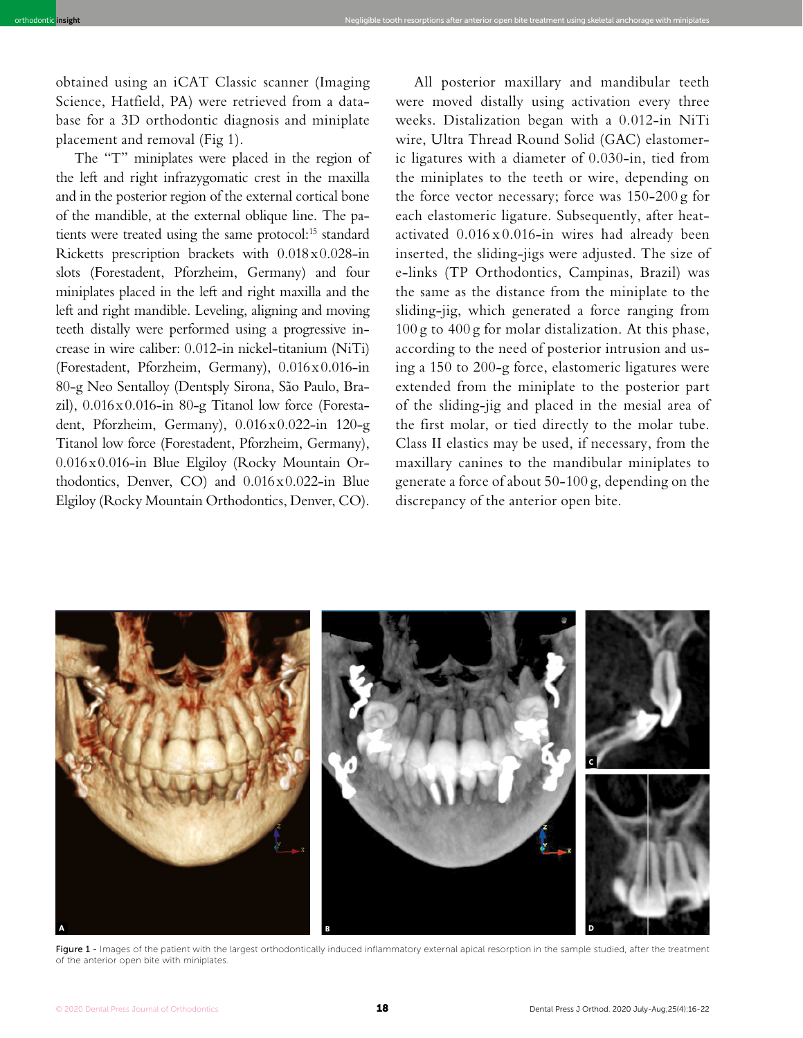obtained using an iCAT Classic scanner (Imaging Science, Hatfield, PA) were retrieved from a database for a 3D orthodontic diagnosis and miniplate placement and removal (Fig 1).

orthodontic **insight** Negligible tooth resorptions after anterior open bite treatment using skeletal anchorage with miniplates

The "T" miniplates were placed in the region of the left and right infrazygomatic crest in the maxilla and in the posterior region of the external cortical bone of the mandible, at the external oblique line. The patients were treated using the same protocol:<sup>15</sup> standard Ricketts prescription brackets with 0.018x0.028-in slots (Forestadent, Pforzheim, Germany) and four miniplates placed in the left and right maxilla and the left and right mandible. Leveling, aligning and moving teeth distally were performed using a progressive increase in wire caliber: 0.012-in nickel-titanium (NiTi) (Forestadent, Pforzheim, Germany), 0.016x0.016-in 80-g Neo Sentalloy (Dentsply Sirona, São Paulo, Brazil),  $0.016 \times 0.016$ -in 80-g Titanol low force (Forestadent, Pforzheim, Germany), 0.016x0.022-in 120-g Titanol low force (Forestadent, Pforzheim, Germany), 0.016x0.016-in Blue Elgiloy (Rocky Mountain Orthodontics, Denver, CO) and 0.016x0.022-in Blue Elgiloy (Rocky Mountain Orthodontics, Denver, CO).

All posterior maxillary and mandibular teeth were moved distally using activation every three weeks. Distalization began with a 0.012-in NiTi wire, Ultra Thread Round Solid (GAC) elastomeric ligatures with a diameter of 0.030-in, tied from the miniplates to the teeth or wire, depending on the force vector necessary; force was 150-200 g for each elastomeric ligature. Subsequently, after heatactivated  $0.016 \times 0.016$ -in wires had already been inserted, the sliding-jigs were adjusted. The size of e-links (TP Orthodontics, Campinas, Brazil) was the same as the distance from the miniplate to the sliding-jig, which generated a force ranging from 100 g to 400 g for molar distalization. At this phase, according to the need of posterior intrusion and using a 150 to 200-g force, elastomeric ligatures were extended from the miniplate to the posterior part of the sliding-jig and placed in the mesial area of the first molar, or tied directly to the molar tube. Class II elastics may be used, if necessary, from the maxillary canines to the mandibular miniplates to generate a force of about 50-100 g, depending on the discrepancy of the anterior open bite.



Figure 1 - Images of the patient with the largest orthodontically induced inflammatory external apical resorption in the sample studied, after the treatment of the anterior open bite with miniplates.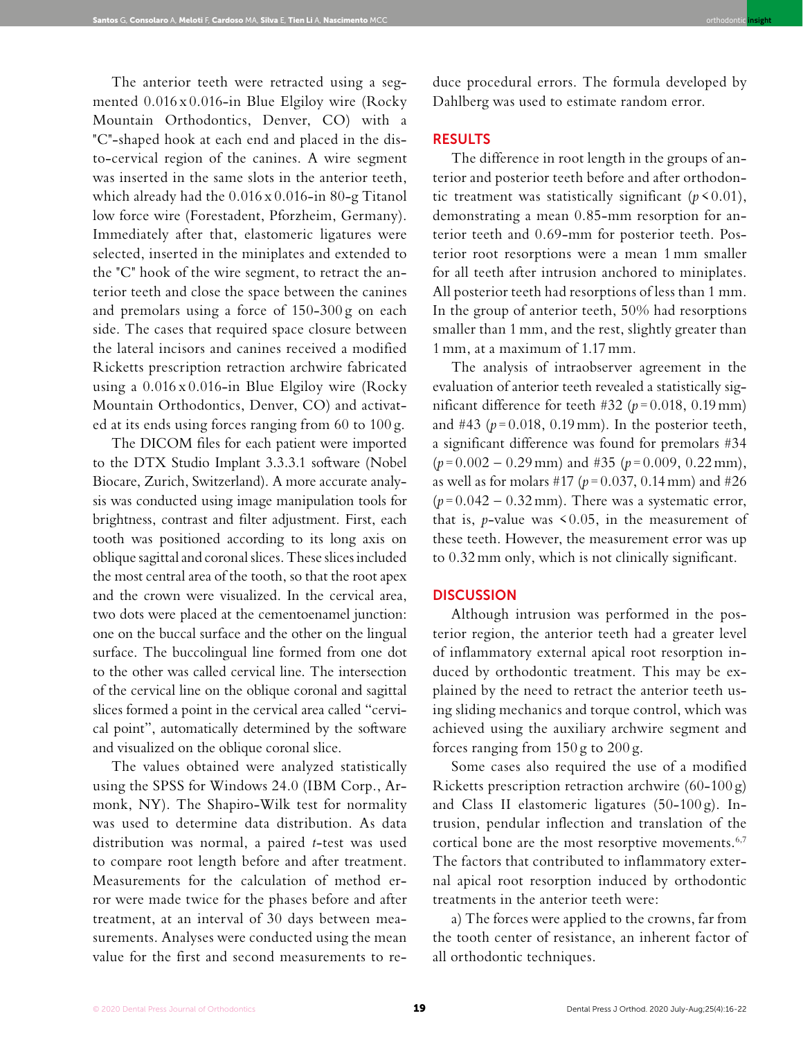The anterior teeth were retracted using a segmented 0.016 x 0.016-in Blue Elgiloy wire (Rocky Mountain Orthodontics, Denver, CO) with a "C"-shaped hook at each end and placed in the disto-cervical region of the canines. A wire segment was inserted in the same slots in the anterior teeth, which already had the 0.016 x 0.016-in 80-g Titanol low force wire (Forestadent, Pforzheim, Germany). Immediately after that, elastomeric ligatures were selected, inserted in the miniplates and extended to the "C" hook of the wire segment, to retract the anterior teeth and close the space between the canines and premolars using a force of 150-300 g on each side. The cases that required space closure between the lateral incisors and canines received a modified Ricketts prescription retraction archwire fabricated using a 0.016 x 0.016-in Blue Elgiloy wire (Rocky Mountain Orthodontics, Denver, CO) and activated at its ends using forces ranging from 60 to 100 g.

The DICOM files for each patient were imported to the DTX Studio Implant 3.3.3.1 software (Nobel Biocare, Zurich, Switzerland). A more accurate analysis was conducted using image manipulation tools for brightness, contrast and filter adjustment. First, each tooth was positioned according to its long axis on oblique sagittal and coronal slices. These slices included the most central area of the tooth, so that the root apex and the crown were visualized. In the cervical area, two dots were placed at the cementoenamel junction: one on the buccal surface and the other on the lingual surface. The buccolingual line formed from one dot to the other was called cervical line. The intersection of the cervical line on the oblique coronal and sagittal slices formed a point in the cervical area called "cervical point", automatically determined by the software and visualized on the oblique coronal slice.

The values obtained were analyzed statistically using the SPSS for Windows 24.0 (IBM Corp., Armonk, NY). The Shapiro-Wilk test for normality was used to determine data distribution. As data distribution was normal, a paired *t*-test was used to compare root length before and after treatment. Measurements for the calculation of method error were made twice for the phases before and after treatment, at an interval of 30 days between measurements. Analyses were conducted using the mean value for the first and second measurements to re-

duce procedural errors. The formula developed by Dahlberg was used to estimate random error.

orthodontic **insight**

# RESULTS

The difference in root length in the groups of anterior and posterior teeth before and after orthodontic treatment was statistically significant  $(p < 0.01)$ , demonstrating a mean 0.85-mm resorption for anterior teeth and 0.69-mm for posterior teeth. Posterior root resorptions were a mean 1 mm smaller for all teeth after intrusion anchored to miniplates. All posterior teeth had resorptions of less than 1 mm. In the group of anterior teeth, 50% had resorptions smaller than 1 mm, and the rest, slightly greater than 1 mm, at a maximum of 1.17 mm.

The analysis of intraobserver agreement in the evaluation of anterior teeth revealed a statistically significant difference for teeth #32 ( $p = 0.018$ , 0.19 mm) and #43 ( $p = 0.018$ , 0.19 mm). In the posterior teeth, a significant difference was found for premolars #34  $(p=0.002-0.29 \text{ mm})$  and #35 ( $p=0.009, 0.22 \text{ mm}$ ), as well as for molars #17 ( $p = 0.037$ , 0.14 mm) and #26  $(p=0.042 - 0.32 \text{ mm})$ . There was a systematic error, that is, *p*-value was  $\leq 0.05$ , in the measurement of these teeth. However, the measurement error was up to 0.32 mm only, which is not clinically significant.

#### **DISCUSSION**

Although intrusion was performed in the posterior region, the anterior teeth had a greater level of inflammatory external apical root resorption induced by orthodontic treatment. This may be explained by the need to retract the anterior teeth using sliding mechanics and torque control, which was achieved using the auxiliary archwire segment and forces ranging from  $150 g$  to  $200 g$ .

Some cases also required the use of a modified Ricketts prescription retraction archwire (60-100 g) and Class II elastomeric ligatures (50-100 g). Intrusion, pendular inflection and translation of the cortical bone are the most resorptive movements.<sup>6,7</sup> The factors that contributed to inflammatory external apical root resorption induced by orthodontic treatments in the anterior teeth were:

a) The forces were applied to the crowns, far from the tooth center of resistance, an inherent factor of all orthodontic techniques.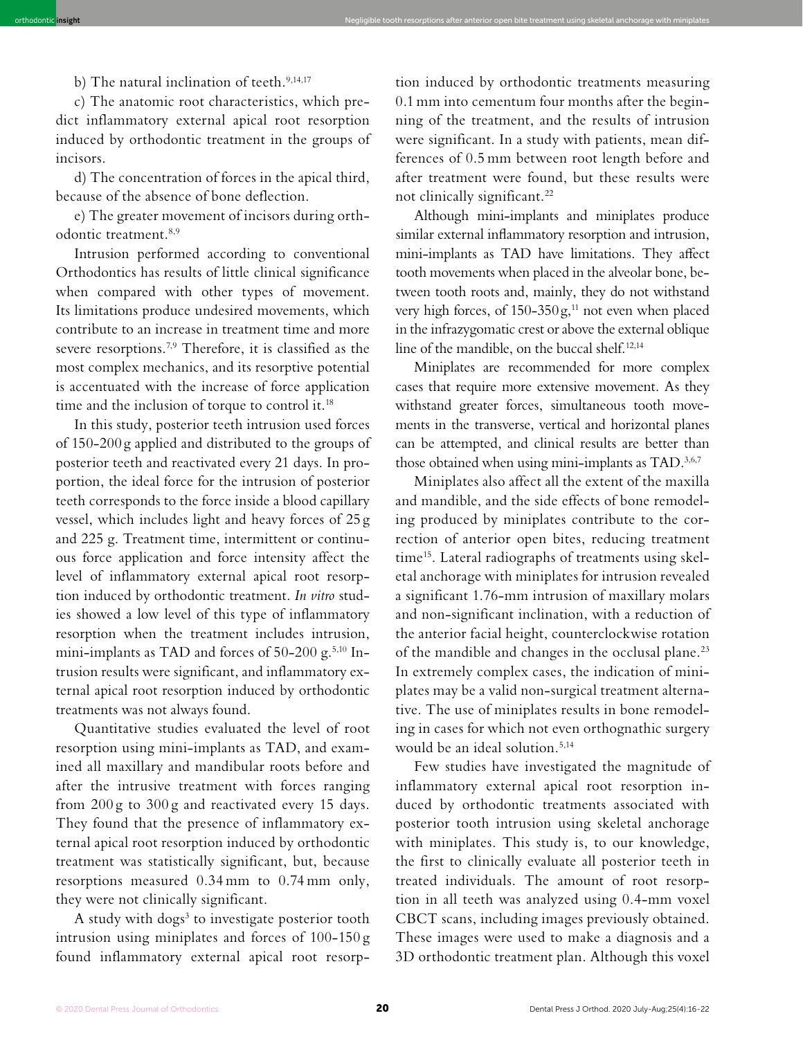b) The natural inclination of teeth.<sup>9,14,17</sup>

c) The anatomic root characteristics, which predict inflammatory external apical root resorption induced by orthodontic treatment in the groups of incisors.

orthodontic **insight** Negligible tooth resorptions after anterior open bite treatment using skeletal anchorage with miniplates

d) The concentration of forces in the apical third, because of the absence of bone deflection.

e) The greater movement of incisors during orthodontic treatment.8,9

Intrusion performed according to conventional Orthodontics has results of little clinical significance when compared with other types of movement. Its limitations produce undesired movements, which contribute to an increase in treatment time and more severe resorptions.<sup>7,9</sup> Therefore, it is classified as the most complex mechanics, and its resorptive potential is accentuated with the increase of force application time and the inclusion of torque to control it.<sup>18</sup>

In this study, posterior teeth intrusion used forces of 150-200 g applied and distributed to the groups of posterior teeth and reactivated every 21 days. In proportion, the ideal force for the intrusion of posterior teeth corresponds to the force inside a blood capillary vessel, which includes light and heavy forces of 25 g and 225 g. Treatment time, intermittent or continuous force application and force intensity affect the level of inflammatory external apical root resorption induced by orthodontic treatment. *In vitro* studies showed a low level of this type of inflammatory resorption when the treatment includes intrusion, mini-implants as TAD and forces of 50-200 g.<sup>5,10</sup> Intrusion results were significant, and inflammatory external apical root resorption induced by orthodontic treatments was not always found.

Quantitative studies evaluated the level of root resorption using mini-implants as TAD, and examined all maxillary and mandibular roots before and after the intrusive treatment with forces ranging from 200 g to 300 g and reactivated every 15 days. They found that the presence of inflammatory external apical root resorption induced by orthodontic treatment was statistically significant, but, because resorptions measured 0.34 mm to 0.74 mm only, they were not clinically significant.

A study with  $\log s^3$  to investigate posterior tooth intrusion using miniplates and forces of 100-150 g found inflammatory external apical root resorption induced by orthodontic treatments measuring 0.1 mm into cementum four months after the beginning of the treatment, and the results of intrusion were significant. In a study with patients, mean differences of 0.5 mm between root length before and after treatment were found, but these results were not clinically significant.22

Although mini-implants and miniplates produce similar external inflammatory resorption and intrusion, mini-implants as TAD have limitations. They affect tooth movements when placed in the alveolar bone, between tooth roots and, mainly, they do not withstand very high forces, of  $150-350g$ ,<sup>11</sup> not even when placed in the infrazygomatic crest or above the external oblique line of the mandible, on the buccal shelf.<sup>12,14</sup>

Miniplates are recommended for more complex cases that require more extensive movement. As they withstand greater forces, simultaneous tooth movements in the transverse, vertical and horizontal planes can be attempted, and clinical results are better than those obtained when using mini-implants as TAD.<sup>3,6,7</sup>

Miniplates also affect all the extent of the maxilla and mandible, and the side effects of bone remodeling produced by miniplates contribute to the correction of anterior open bites, reducing treatment time<sup>15</sup>. Lateral radiographs of treatments using skeletal anchorage with miniplates for intrusion revealed a significant 1.76-mm intrusion of maxillary molars and non-significant inclination, with a reduction of the anterior facial height, counterclockwise rotation of the mandible and changes in the occlusal plane.<sup>23</sup> In extremely complex cases, the indication of miniplates may be a valid non-surgical treatment alternative. The use of miniplates results in bone remodeling in cases for which not even orthognathic surgery would be an ideal solution.5,14

Few studies have investigated the magnitude of inflammatory external apical root resorption induced by orthodontic treatments associated with posterior tooth intrusion using skeletal anchorage with miniplates. This study is, to our knowledge, the first to clinically evaluate all posterior teeth in treated individuals. The amount of root resorption in all teeth was analyzed using 0.4-mm voxel CBCT scans, including images previously obtained. These images were used to make a diagnosis and a 3D orthodontic treatment plan. Although this voxel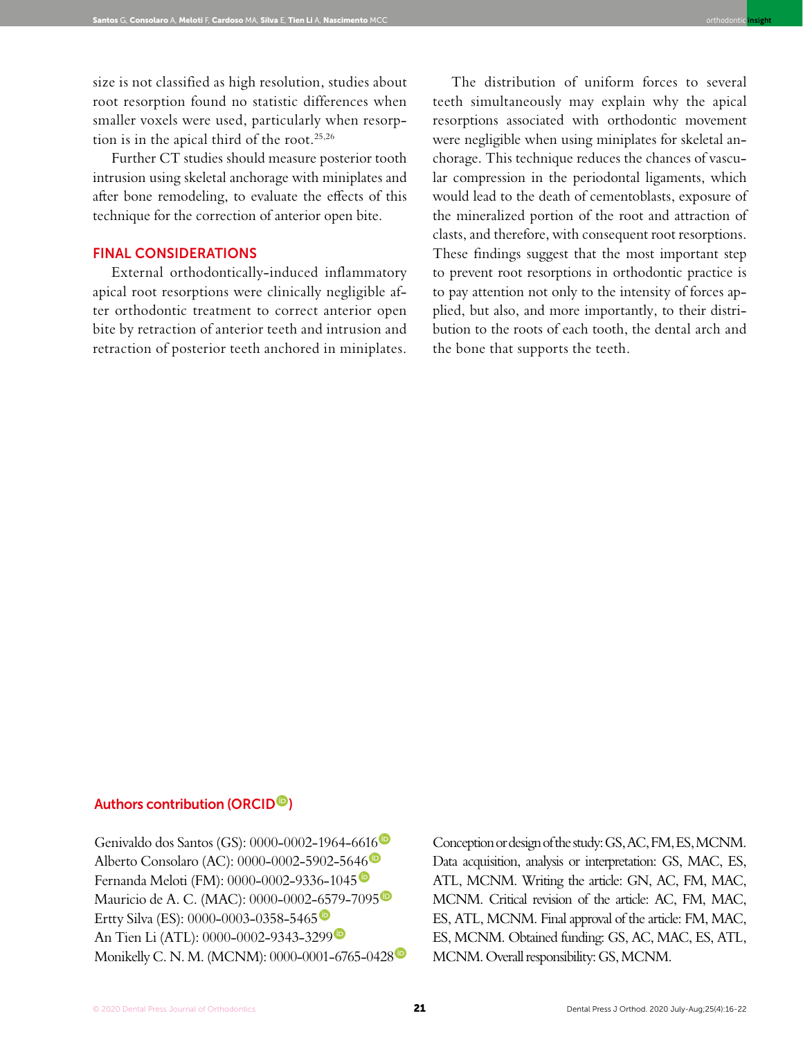size is not classified as high resolution, studies about root resorption found no statistic differences when smaller voxels were used, particularly when resorption is in the apical third of the root.25,26

Further CT studies should measure posterior tooth intrusion using skeletal anchorage with miniplates and after bone remodeling, to evaluate the effects of this technique for the correction of anterior open bite.

## FINAL CONSIDERATIONS

External orthodontically-induced inflammatory apical root resorptions were clinically negligible after orthodontic treatment to correct anterior open bite by retraction of anterior teeth and intrusion and retraction of posterior teeth anchored in miniplates.

The distribution of uniform forces to several teeth simultaneously may explain why the apical resorptions associated with orthodontic movement were negligible when using miniplates for skeletal anchorage. This technique reduces the chances of vascular compression in the periodontal ligaments, which would lead to the death of cementoblasts, exposure of the mineralized portion of the root and attraction of clasts, and therefore, with consequent root resorptions. These findings suggest that the most important step to prevent root resorptions in orthodontic practice is to pay attention not only to the intensity of forces applied, but also, and more importantly, to their distribution to the roots of each tooth, the dental arch and the bone that supports the teeth.

orthodontic **insight**

# Authors contribution (ORCID<sup>®</sup>)

Genivaldo dos Santos (GS): 0000-0002-1964-6616 Alberto Consolaro (AC): 0000-0002-5902-5646 Fernanda Meloti (FM): 0000-0002-9336-1045 Mauricio de A. C. (MAC): 0000-0002-6579-7095<sup>®</sup> Ertty Silva (ES): 0000-0003-0358-5465<sup><sup>®</sup></sup> An Tien Li (ATL): 0000-0002-9343-3299 Monikelly C. N. M. (MCNM): 0000-0001-6765-0428

Conception or design of the study: GS, AC, FM, ES, MCNM. Data acquisition, analysis or interpretation: GS, MAC, ES, ATL, MCNM. Writing the article: GN, AC, FM, MAC, MCNM. Critical revision of the article: AC, FM, MAC, ES, ATL, MCNM. Final approval of the article: FM, MAC, ES, MCNM. Obtained funding: GS, AC, MAC, ES, ATL, MCNM. Overall responsibility: GS, MCNM.